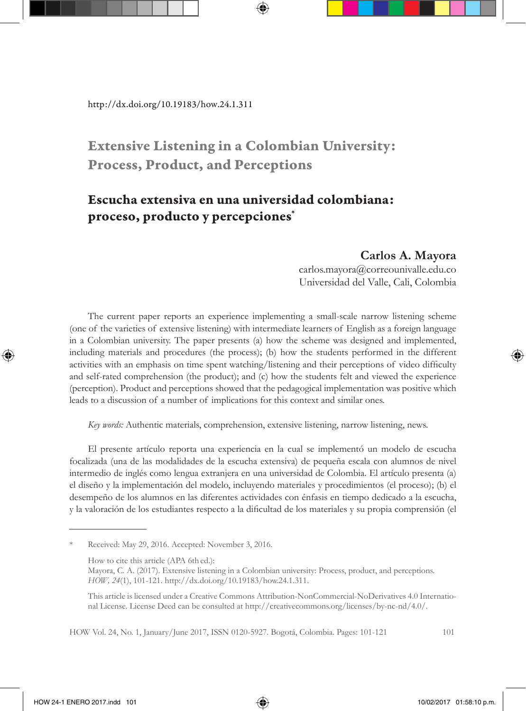http://dx.doi.org/10.19183/how.24.1.311

# Extensive Listening in a Colombian University: Process, Product, and Perceptions

## Escucha extensiva en una universidad colombiana: proceso, producto y percepciones\*

#### **Carlos A. Mayora**

carlos.mayora@correounivalle.edu.co Universidad del Valle, Cali, Colombia

The current paper reports an experience implementing a small-scale narrow listening scheme (one of the varieties of extensive listening) with intermediate learners of English as a foreign language in a Colombian university. The paper presents (a) how the scheme was designed and implemented, including materials and procedures (the process); (b) how the students performed in the different activities with an emphasis on time spent watching/listening and their perceptions of video difficulty and self-rated comprehension (the product); and (c) how the students felt and viewed the experience (perception). Product and perceptions showed that the pedagogical implementation was positive which leads to a discussion of a number of implications for this context and similar ones.

*Key words:* Authentic materials, comprehension, extensive listening, narrow listening, news.

El presente artículo reporta una experiencia en la cual se implementó un modelo de escucha focalizada (una de las modalidades de la escucha extensiva) de pequeña escala con alumnos de nivel intermedio de inglés como lengua extranjera en una universidad de Colombia. El artículo presenta (a) el diseño y la implementación del modelo, incluyendo materiales y procedimientos (el proceso); (b) el desempeño de los alumnos en las diferentes actividades con énfasis en tiempo dedicado a la escucha, y la valoración de los estudiantes respecto a la dificultad de los materiales y su propia comprensión (el

Received: May 29, 2016. Accepted: November 3, 2016.

This article is licensed under a Creative Commons Attribution-NonCommercial-NoDerivatives 4.0 International License. License Deed can be consulted at http://creativecommons.org/licenses/by-nc-nd/4.0/.

How to cite this article (APA 6th ed.):

Mayora, C. A. (2017). Extensive listening in a Colombian university: Process, product, and perceptions. *HOW, 24*(1), 101-121. http://dx.doi.org/10.19183/how.24.1.311.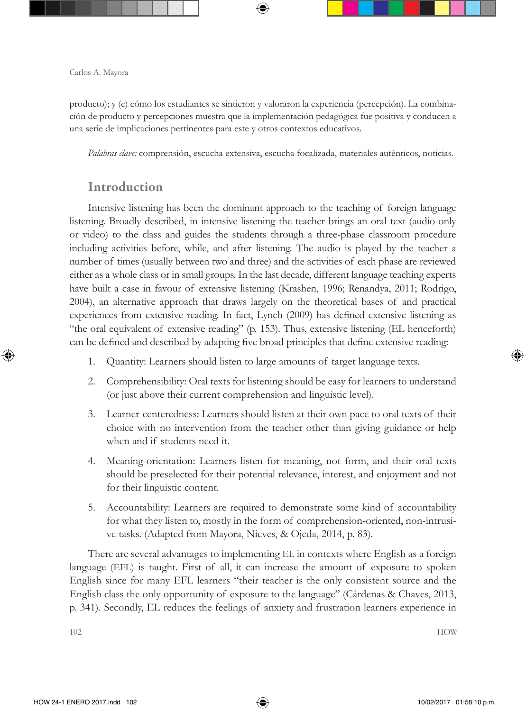producto); y (c) cómo los estudiantes se sintieron y valoraron la experiencia (percepción). La combinación de producto y percepciones muestra que la implementación pedagógica fue positiva y conducen a una serie de implicaciones pertinentes para este y otros contextos educativos.

*Palabras clave:* comprensión, escucha extensiva, escucha focalizada, materiales auténticos, noticias.

### Introduction

Intensive listening has been the dominant approach to the teaching of foreign language listening. Broadly described, in intensive listening the teacher brings an oral text (audio-only or video) to the class and guides the students through a three-phase classroom procedure including activities before, while, and after listening. The audio is played by the teacher a number of times (usually between two and three) and the activities of each phase are reviewed either as a whole class or in small groups. In the last decade, different language teaching experts have built a case in favour of extensive listening (Krashen, 1996; Renandya, 2011; Rodrigo, 2004), an alternative approach that draws largely on the theoretical bases of and practical experiences from extensive reading. In fact, Lynch (2009) has defined extensive listening as "the oral equivalent of extensive reading" (p. 153). Thus, extensive listening (EL henceforth) can be defined and described by adapting five broad principles that define extensive reading:

- 1. Quantity: Learners should listen to large amounts of target language texts.
- 2. Comprehensibility: Oral texts for listening should be easy for learners to understand (or just above their current comprehension and linguistic level).
- 3. Learner-centeredness: Learners should listen at their own pace to oral texts of their choice with no intervention from the teacher other than giving guidance or help when and if students need it.
- 4. Meaning-orientation: Learners listen for meaning, not form, and their oral texts should be preselected for their potential relevance, interest, and enjoyment and not for their linguistic content.
- 5. Accountability: Learners are required to demonstrate some kind of accountability for what they listen to, mostly in the form of comprehension-oriented, non-intrusive tasks. (Adapted from Mayora, Nieves, & Ojeda, 2014, p. 83).

There are several advantages to implementing EL in contexts where English as a foreign language (EFL) is taught. First of all, it can increase the amount of exposure to spoken English since for many EFL learners "their teacher is the only consistent source and the English class the only opportunity of exposure to the language" (Cárdenas & Chaves, 2013, p. 341). Secondly, EL reduces the feelings of anxiety and frustration learners experience in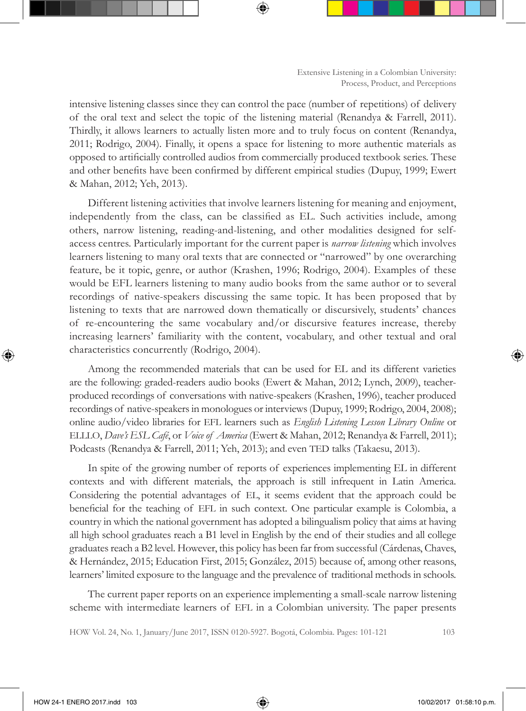intensive listening classes since they can control the pace (number of repetitions) of delivery of the oral text and select the topic of the listening material (Renandya & Farrell, 2011). Thirdly, it allows learners to actually listen more and to truly focus on content (Renandya, 2011; Rodrigo, 2004). Finally, it opens a space for listening to more authentic materials as opposed to artificially controlled audios from commercially produced textbook series. These and other benefits have been confirmed by different empirical studies (Dupuy, 1999; Ewert & Mahan, 2012; Yeh, 2013).

Different listening activities that involve learners listening for meaning and enjoyment, independently from the class, can be classified as EL. Such activities include, among others, narrow listening, reading-and-listening, and other modalities designed for selfaccess centres. Particularly important for the current paper is *narrow listening* which involves learners listening to many oral texts that are connected or "narrowed" by one overarching feature, be it topic, genre, or author (Krashen, 1996; Rodrigo, 2004). Examples of these would be EFL learners listening to many audio books from the same author or to several recordings of native-speakers discussing the same topic. It has been proposed that by listening to texts that are narrowed down thematically or discursively, students' chances of re-encountering the same vocabulary and/or discursive features increase, thereby increasing learners' familiarity with the content, vocabulary, and other textual and oral characteristics concurrently (Rodrigo, 2004).

Among the recommended materials that can be used for EL and its different varieties are the following: graded-readers audio books (Ewert & Mahan, 2012; Lynch, 2009), teacherproduced recordings of conversations with native-speakers (Krashen, 1996), teacher produced recordings of native-speakers in monologues or interviews (Dupuy, 1999; Rodrigo, 2004, 2008); online audio/video libraries for EFL learners such as *English Listening Lesson Library Online* or ELLLO, *Dave's ESL Café*, or *Voice of America* (Ewert & Mahan, 2012; Renandya & Farrell, 2011); Podcasts (Renandya & Farrell, 2011; Yeh, 2013); and even TED talks (Takaesu, 2013).

In spite of the growing number of reports of experiences implementing EL in different contexts and with different materials, the approach is still infrequent in Latin America. Considering the potential advantages of EL, it seems evident that the approach could be beneficial for the teaching of EFL in such context. One particular example is Colombia, a country in which the national government has adopted a bilingualism policy that aims at having all high school graduates reach a B1 level in English by the end of their studies and all college graduates reach a B2 level. However, this policy has been far from successful (Cárdenas, Chaves, & Hernández, 2015; Education First, 2015; González, 2015) because of, among other reasons, learners' limited exposure to the language and the prevalence of traditional methods in schools.

The current paper reports on an experience implementing a small-scale narrow listening scheme with intermediate learners of EFL in a Colombian university. The paper presents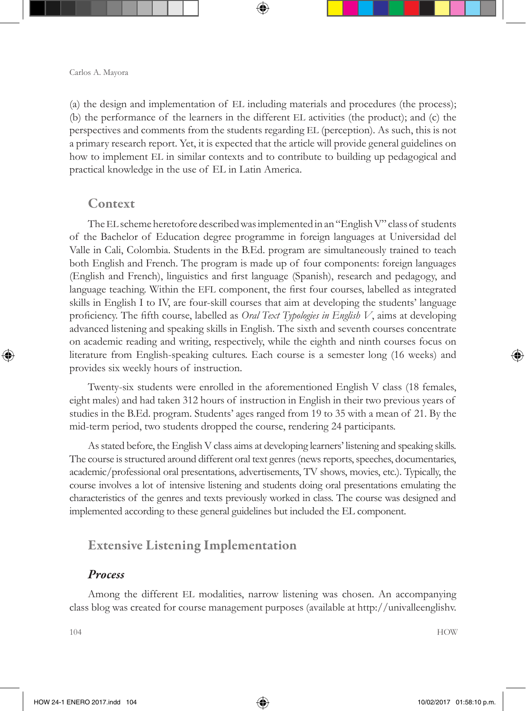(a) the design and implementation of EL including materials and procedures (the process); (b) the performance of the learners in the different EL activities (the product); and (c) the perspectives and comments from the students regarding EL (perception). As such, this is not a primary research report. Yet, it is expected that the article will provide general guidelines on how to implement EL in similar contexts and to contribute to building up pedagogical and practical knowledge in the use of EL in Latin America.

### Context

The EL scheme heretofore described was implemented in an "English V" class of students of the Bachelor of Education degree programme in foreign languages at Universidad del Valle in Cali, Colombia. Students in the B.Ed. program are simultaneously trained to teach both English and French. The program is made up of four components: foreign languages (English and French), linguistics and first language (Spanish), research and pedagogy, and language teaching. Within the EFL component, the first four courses, labelled as integrated skills in English I to IV, are four-skill courses that aim at developing the students' language proficiency. The fifth course, labelled as *Oral Text Typologies in English V*, aims at developing advanced listening and speaking skills in English. The sixth and seventh courses concentrate on academic reading and writing, respectively, while the eighth and ninth courses focus on literature from English-speaking cultures. Each course is a semester long (16 weeks) and provides six weekly hours of instruction.

Twenty-six students were enrolled in the aforementioned English V class (18 females, eight males) and had taken 312 hours of instruction in English in their two previous years of studies in the B.Ed. program. Students' ages ranged from 19 to 35 with a mean of 21. By the mid-term period, two students dropped the course, rendering 24 participants.

As stated before, the English V class aims at developing learners' listening and speaking skills. The course is structured around different oral text genres (news reports, speeches, documentaries, academic/professional oral presentations, advertisements, TV shows, movies, etc.). Typically, the course involves a lot of intensive listening and students doing oral presentations emulating the characteristics of the genres and texts previously worked in class. The course was designed and implemented according to these general guidelines but included the EL component.

## Extensive Listening Implementation

#### *Process*

Among the different EL modalities, narrow listening was chosen. An accompanying class blog was created for course management purposes (available at http://univalleenglishv.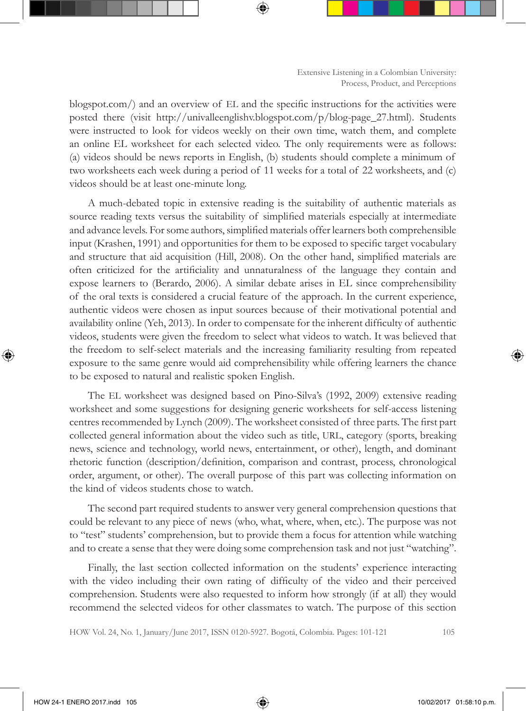blogspot.com/) and an overview of EL and the specific instructions for the activities were posted there (visit http://univalleenglishv.blogspot.com/p/blog-page 27.html). Students were instructed to look for videos weekly on their own time, watch them, and complete an online EL worksheet for each selected video. The only requirements were as follows: (a) videos should be news reports in English, (b) students should complete a minimum of two worksheets each week during a period of 11 weeks for a total of 22 worksheets, and (c) videos should be at least one-minute long.

A much-debated topic in extensive reading is the suitability of authentic materials as source reading texts versus the suitability of simplified materials especially at intermediate and advance levels. For some authors, simplified materials offer learners both comprehensible input (Krashen, 1991) and opportunities for them to be exposed to specific target vocabulary and structure that aid acquisition (Hill, 2008). On the other hand, simplified materials are often criticized for the artificiality and unnaturalness of the language they contain and expose learners to (Berardo, 2006). A similar debate arises in EL since comprehensibility of the oral texts is considered a crucial feature of the approach. In the current experience, authentic videos were chosen as input sources because of their motivational potential and availability online (Yeh, 2013). In order to compensate for the inherent difficulty of authentic videos, students were given the freedom to select what videos to watch. It was believed that the freedom to self-select materials and the increasing familiarity resulting from repeated exposure to the same genre would aid comprehensibility while offering learners the chance to be exposed to natural and realistic spoken English.

The EL worksheet was designed based on Pino-Silva's (1992, 2009) extensive reading worksheet and some suggestions for designing generic worksheets for self-access listening centres recommended by Lynch (2009). The worksheet consisted of three parts. The first part collected general information about the video such as title, URL, category (sports, breaking news, science and technology, world news, entertainment, or other), length, and dominant rhetoric function (description/definition, comparison and contrast, process, chronological order, argument, or other). The overall purpose of this part was collecting information on the kind of videos students chose to watch.

The second part required students to answer very general comprehension questions that could be relevant to any piece of news (who, what, where, when, etc.). The purpose was not to "test" students' comprehension, but to provide them a focus for attention while watching and to create a sense that they were doing some comprehension task and not just "watching".

Finally, the last section collected information on the students' experience interacting with the video including their own rating of difficulty of the video and their perceived comprehension. Students were also requested to inform how strongly (if at all) they would recommend the selected videos for other classmates to watch. The purpose of this section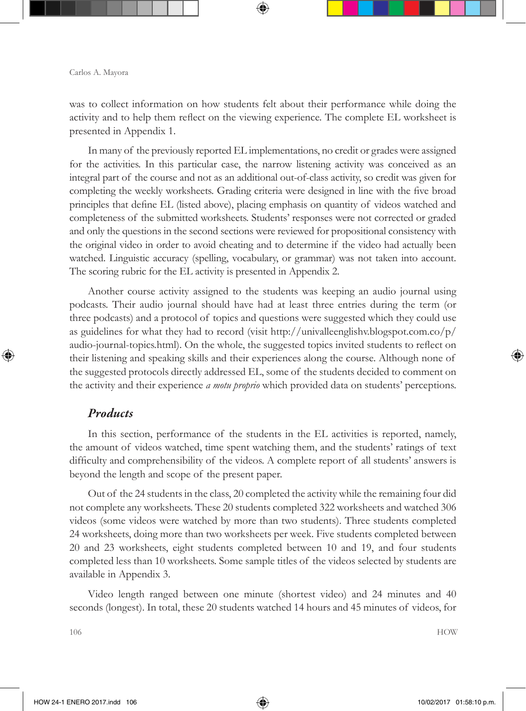was to collect information on how students felt about their performance while doing the activity and to help them reflect on the viewing experience. The complete EL worksheet is presented in Appendix 1.

In many of the previously reported EL implementations, no credit or grades were assigned for the activities. In this particular case, the narrow listening activity was conceived as an integral part of the course and not as an additional out-of-class activity, so credit was given for completing the weekly worksheets. Grading criteria were designed in line with the five broad principles that define EL (listed above), placing emphasis on quantity of videos watched and completeness of the submitted worksheets. Students' responses were not corrected or graded and only the questions in the second sections were reviewed for propositional consistency with the original video in order to avoid cheating and to determine if the video had actually been watched. Linguistic accuracy (spelling, vocabulary, or grammar) was not taken into account. The scoring rubric for the EL activity is presented in Appendix 2.

Another course activity assigned to the students was keeping an audio journal using podcasts. Their audio journal should have had at least three entries during the term (or three podcasts) and a protocol of topics and questions were suggested which they could use as guidelines for what they had to record (visit http://univalleenglishv.blogspot.com.co/p/ audio-journal-topics.html). On the whole, the suggested topics invited students to reflect on their listening and speaking skills and their experiences along the course. Although none of the suggested protocols directly addressed EL, some of the students decided to comment on the activity and their experience *a motu proprio* which provided data on students' perceptions.

### *Products*

In this section, performance of the students in the EL activities is reported, namely, the amount of videos watched, time spent watching them, and the students' ratings of text difficulty and comprehensibility of the videos. A complete report of all students' answers is beyond the length and scope of the present paper.

Out of the 24 students in the class, 20 completed the activity while the remaining four did not complete any worksheets. These 20 students completed 322 worksheets and watched 306 videos (some videos were watched by more than two students). Three students completed 24 worksheets, doing more than two worksheets per week. Five students completed between 20 and 23 worksheets, eight students completed between 10 and 19, and four students completed less than 10 worksheets. Some sample titles of the videos selected by students are available in Appendix 3.

Video length ranged between one minute (shortest video) and 24 minutes and 40 seconds (longest). In total, these 20 students watched 14 hours and 45 minutes of videos, for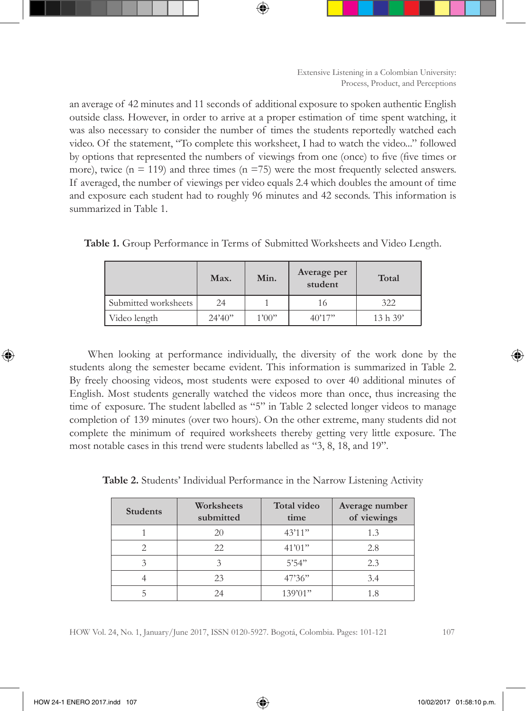an average of 42 minutes and 11 seconds of additional exposure to spoken authentic English outside class. However, in order to arrive at a proper estimation of time spent watching, it was also necessary to consider the number of times the students reportedly watched each video. Of the statement, "To complete this worksheet, I had to watch the video..." followed by options that represented the numbers of viewings from one (once) to five (five times or more), twice  $(n = 119)$  and three times  $(n = 75)$  were the most frequently selected answers. If averaged, the number of viewings per video equals 2.4 which doubles the amount of time and exposure each student had to roughly 96 minutes and 42 seconds. This information is summarized in Table 1.

|                      | Max.    | Min.  | Average per<br>student | Total    |
|----------------------|---------|-------|------------------------|----------|
| Submitted worksheets | 24      |       | 16                     | 322      |
| Video length         | 24'40'' | 1'00" | 40'17''                | 13 h 39' |

**Table 1.** Group Performance in Terms of Submitted Worksheets and Video Length.

When looking at performance individually, the diversity of the work done by the students along the semester became evident. This information is summarized in Table 2. By freely choosing videos, most students were exposed to over 40 additional minutes of English. Most students generally watched the videos more than once, thus increasing the time of exposure. The student labelled as "5" in Table 2 selected longer videos to manage completion of 139 minutes (over two hours). On the other extreme, many students did not complete the minimum of required worksheets thereby getting very little exposure. The most notable cases in this trend were students labelled as "3, 8, 18, and 19".

| Table 2. Students' Individual Performance in the Narrow Listening Activity |  |  |  |  |
|----------------------------------------------------------------------------|--|--|--|--|
|----------------------------------------------------------------------------|--|--|--|--|

| <b>Students</b> | Worksheets<br>submitted | <b>Total video</b><br>time | Average number<br>of viewings |
|-----------------|-------------------------|----------------------------|-------------------------------|
|                 | 20                      | 43'11"                     | 1.3                           |
|                 | 22                      | 41'01"                     | 2.8                           |
| 3               | 3                       | 5'54"                      | 2.3                           |
|                 | 23                      | 47'36"                     | 3.4                           |
|                 | 24                      | 139'01"                    | 1.8                           |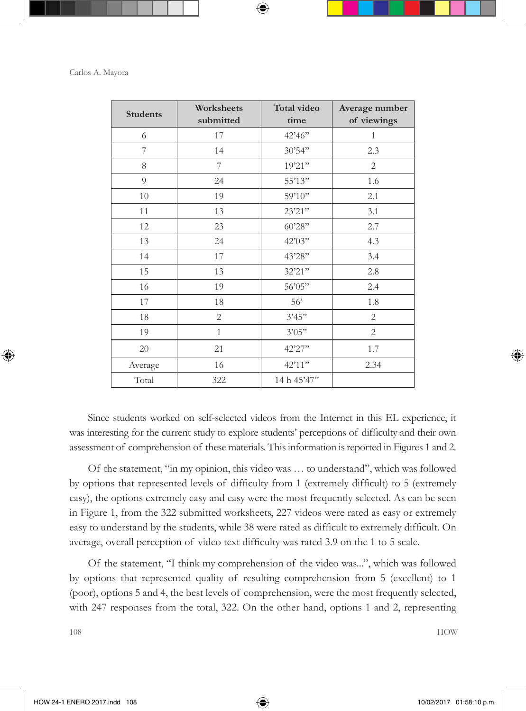| <b>Students</b> | Worksheets<br>submitted | Total video<br>time | Average number<br>of viewings |
|-----------------|-------------------------|---------------------|-------------------------------|
| 6               | 17                      | 42'46"              | 1                             |
| 7               | 14                      | 30'54"              | 2.3                           |
| 8               | 7                       | 19'21"              | $\overline{2}$                |
| 9               | 24                      | 55'13"              | 1.6                           |
| 10              | 19                      | 59'10"              | 2.1                           |
| 11              | 13                      | 23'21"              | 3.1                           |
| 12              | 23                      | 60'28"              | 2.7                           |
| 13              | 24                      | 42'03"              | 4.3                           |
| 14              | 17                      | 43'28"              | 3.4                           |
| 15              | 13                      | 32'21"              | 2.8                           |
| 16              | 19                      | 56'05"              | 2.4                           |
| 17              | 18                      | 56'                 | 1.8                           |
| 18              | $\overline{2}$          | 3'45"               | $\overline{2}$                |
| 19              | $\mathbf{1}$            | 3'05"               | $\overline{2}$                |
| 20              | 21                      | 42'27"              | 1.7                           |
| Average         | 16                      | 42'11"              | 2.34                          |
| Total           | 322                     | 14 h 45'47"         |                               |

Since students worked on self-selected videos from the Internet in this EL experience, it was interesting for the current study to explore students' perceptions of difficulty and their own assessment of comprehension of these materials. This information is reported in Figures 1 and 2.

Of the statement, "in my opinion, this video was … to understand", which was followed by options that represented levels of difficulty from 1 (extremely difficult) to 5 (extremely easy), the options extremely easy and easy were the most frequently selected. As can be seen in Figure 1, from the 322 submitted worksheets, 227 videos were rated as easy or extremely easy to understand by the students, while 38 were rated as difficult to extremely difficult. On average, overall perception of video text difficulty was rated 3.9 on the 1 to 5 scale.

Of the statement, "I think my comprehension of the video was...", which was followed by options that represented quality of resulting comprehension from 5 (excellent) to 1 (poor), options 5 and 4, the best levels of comprehension, were the most frequently selected, with 247 responses from the total, 322. On the other hand, options 1 and 2, representing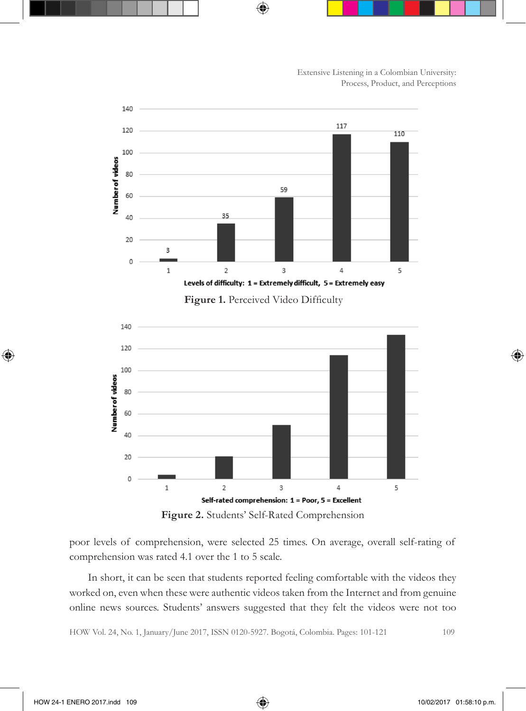

**Figure 2.** Students' Self-Rated Comprehension

poor levels of comprehension, were selected 25 times. On average, overall self-rating of comprehension was rated 4.1 over the 1 to 5 scale.

In short, it can be seen that students reported feeling comfortable with the videos they worked on, even when these were authentic videos taken from the Internet and from genuine online news sources. Students' answers suggested that they felt the videos were not too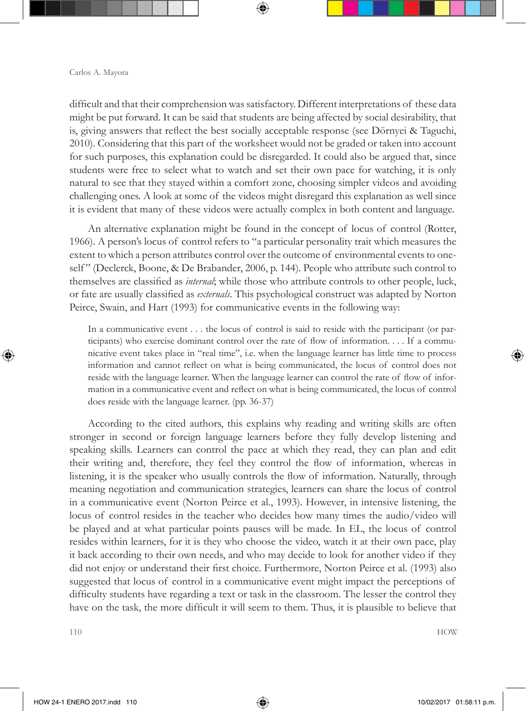difficult and that their comprehension was satisfactory. Different interpretations of these data might be put forward. It can be said that students are being affected by social desirability, that is, giving answers that reflect the best socially acceptable response (see Dörnyei & Taguchi, 2010). Considering that this part of the worksheet would not be graded or taken into account for such purposes, this explanation could be disregarded. It could also be argued that, since students were free to select what to watch and set their own pace for watching, it is only natural to see that they stayed within a comfort zone, choosing simpler videos and avoiding challenging ones. A look at some of the videos might disregard this explanation as well since it is evident that many of these videos were actually complex in both content and language.

An alternative explanation might be found in the concept of locus of control (Rotter, 1966). A person's locus of control refers to "a particular personality trait which measures the extent to which a person attributes control over the outcome of environmental events to oneself" (Declerck, Boone, & De Brabander, 2006, p. 144). People who attribute such control to themselves are classified as *internal*; while those who attribute controls to other people, luck, or fate are usually classified as *externals*. This psychological construct was adapted by Norton Peirce, Swain, and Hart (1993) for communicative events in the following way:

In a communicative event . . . the locus of control is said to reside with the participant (or participants) who exercise dominant control over the rate of flow of information. . . . If a communicative event takes place in "real time", i.e. when the language learner has little time to process information and cannot reflect on what is being communicated, the locus of control does not reside with the language learner. When the language learner can control the rate of flow of information in a communicative event and reflect on what is being communicated, the locus of control does reside with the language learner. (pp. 36-37)

According to the cited authors, this explains why reading and writing skills are often stronger in second or foreign language learners before they fully develop listening and speaking skills. Learners can control the pace at which they read, they can plan and edit their writing and, therefore, they feel they control the flow of information, whereas in listening, it is the speaker who usually controls the flow of information. Naturally, through meaning negotiation and communication strategies, learners can share the locus of control in a communicative event (Norton Peirce et al., 1993). However, in intensive listening, the locus of control resides in the teacher who decides how many times the audio/video will be played and at what particular points pauses will be made. In EL, the locus of control resides within learners, for it is they who choose the video, watch it at their own pace, play it back according to their own needs, and who may decide to look for another video if they did not enjoy or understand their first choice. Furthermore, Norton Peirce et al. (1993) also suggested that locus of control in a communicative event might impact the perceptions of difficulty students have regarding a text or task in the classroom. The lesser the control they have on the task, the more difficult it will seem to them. Thus, it is plausible to believe that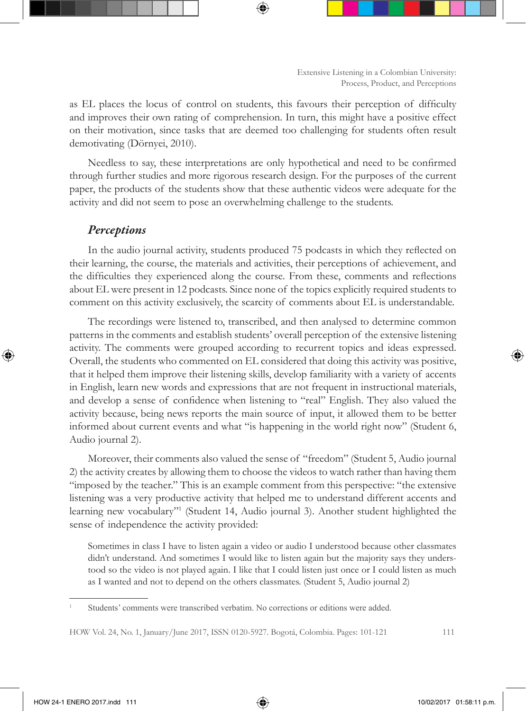as EL places the locus of control on students, this favours their perception of difficulty and improves their own rating of comprehension. In turn, this might have a positive effect on their motivation, since tasks that are deemed too challenging for students often result demotivating (Dörnyei, 2010).

Needless to say, these interpretations are only hypothetical and need to be confirmed through further studies and more rigorous research design. For the purposes of the current paper, the products of the students show that these authentic videos were adequate for the activity and did not seem to pose an overwhelming challenge to the students.

### *Perceptions*

In the audio journal activity, students produced 75 podcasts in which they reflected on their learning, the course, the materials and activities, their perceptions of achievement, and the difficulties they experienced along the course. From these, comments and reflections about EL were present in 12 podcasts. Since none of the topics explicitly required students to comment on this activity exclusively, the scarcity of comments about EL is understandable.

The recordings were listened to, transcribed, and then analysed to determine common patterns in the comments and establish students' overall perception of the extensive listening activity. The comments were grouped according to recurrent topics and ideas expressed. Overall, the students who commented on EL considered that doing this activity was positive, that it helped them improve their listening skills, develop familiarity with a variety of accents in English, learn new words and expressions that are not frequent in instructional materials, and develop a sense of confidence when listening to "real" English. They also valued the activity because, being news reports the main source of input, it allowed them to be better informed about current events and what "is happening in the world right now" (Student 6, Audio journal 2).

Moreover, their comments also valued the sense of "freedom" (Student 5, Audio journal 2) the activity creates by allowing them to choose the videos to watch rather than having them "imposed by the teacher." This is an example comment from this perspective: "the extensive listening was a very productive activity that helped me to understand different accents and learning new vocabulary"1 (Student 14, Audio journal 3). Another student highlighted the sense of independence the activity provided:

Sometimes in class I have to listen again a video or audio I understood because other classmates didn't understand. And sometimes I would like to listen again but the majority says they understood so the video is not played again. I like that I could listen just once or I could listen as much as I wanted and not to depend on the others classmates. (Student 5, Audio journal 2)

<sup>1</sup> Students' comments were transcribed verbatim. No corrections or editions were added.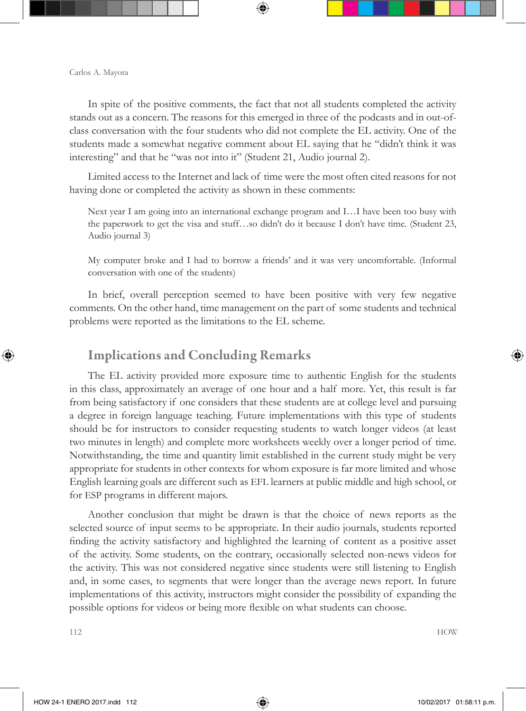In spite of the positive comments, the fact that not all students completed the activity stands out as a concern. The reasons for this emerged in three of the podcasts and in out-ofclass conversation with the four students who did not complete the EL activity. One of the students made a somewhat negative comment about EL saying that he "didn't think it was interesting" and that he "was not into it" (Student 21, Audio journal 2).

Limited access to the Internet and lack of time were the most often cited reasons for not having done or completed the activity as shown in these comments:

Next year I am going into an international exchange program and I…I have been too busy with the paperwork to get the visa and stuff…so didn't do it because I don't have time. (Student 23, Audio journal 3)

My computer broke and I had to borrow a friends' and it was very uncomfortable. (Informal conversation with one of the students)

In brief, overall perception seemed to have been positive with very few negative comments. On the other hand, time management on the part of some students and technical problems were reported as the limitations to the EL scheme.

### Implications and Concluding Remarks

The EL activity provided more exposure time to authentic English for the students in this class, approximately an average of one hour and a half more. Yet, this result is far from being satisfactory if one considers that these students are at college level and pursuing a degree in foreign language teaching. Future implementations with this type of students should be for instructors to consider requesting students to watch longer videos (at least two minutes in length) and complete more worksheets weekly over a longer period of time. Notwithstanding, the time and quantity limit established in the current study might be very appropriate for students in other contexts for whom exposure is far more limited and whose English learning goals are different such as EFL learners at public middle and high school, or for ESP programs in different majors.

Another conclusion that might be drawn is that the choice of news reports as the selected source of input seems to be appropriate. In their audio journals, students reported finding the activity satisfactory and highlighted the learning of content as a positive asset of the activity. Some students, on the contrary, occasionally selected non-news videos for the activity. This was not considered negative since students were still listening to English and, in some cases, to segments that were longer than the average news report. In future implementations of this activity, instructors might consider the possibility of expanding the possible options for videos or being more flexible on what students can choose.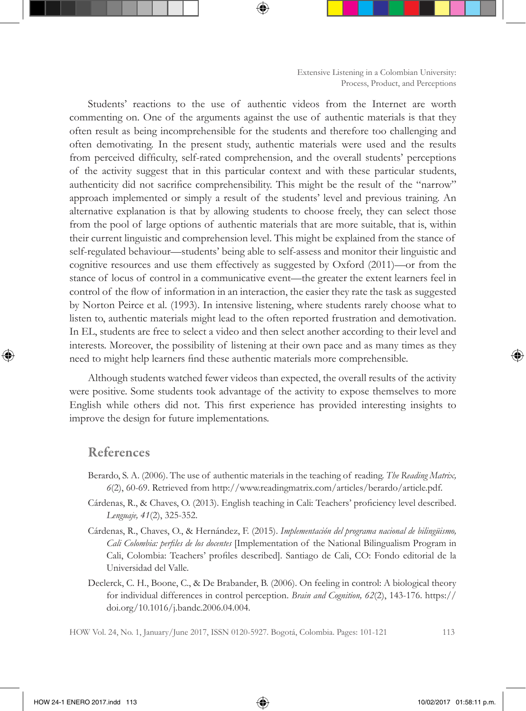Students' reactions to the use of authentic videos from the Internet are worth commenting on. One of the arguments against the use of authentic materials is that they often result as being incomprehensible for the students and therefore too challenging and often demotivating. In the present study, authentic materials were used and the results from perceived difficulty, self-rated comprehension, and the overall students' perceptions of the activity suggest that in this particular context and with these particular students, authenticity did not sacrifice comprehensibility. This might be the result of the "narrow" approach implemented or simply a result of the students' level and previous training. An alternative explanation is that by allowing students to choose freely, they can select those from the pool of large options of authentic materials that are more suitable, that is, within their current linguistic and comprehension level. This might be explained from the stance of self-regulated behaviour—students' being able to self-assess and monitor their linguistic and cognitive resources and use them effectively as suggested by Oxford (2011)—or from the stance of locus of control in a communicative event—the greater the extent learners feel in control of the flow of information in an interaction, the easier they rate the task as suggested by Norton Peirce et al. (1993). In intensive listening, where students rarely choose what to listen to, authentic materials might lead to the often reported frustration and demotivation. In EL, students are free to select a video and then select another according to their level and interests. Moreover, the possibility of listening at their own pace and as many times as they need to might help learners find these authentic materials more comprehensible.

Although students watched fewer videos than expected, the overall results of the activity were positive. Some students took advantage of the activity to expose themselves to more English while others did not. This first experience has provided interesting insights to improve the design for future implementations.

### References

- Berardo, S. A. (2006). The use of authentic materials in the teaching of reading. *The Reading Matrix, 6*(2), 60-69. Retrieved from http://www.readingmatrix.com/articles/berardo/article.pdf.
- Cárdenas, R., & Chaves, O. (2013). English teaching in Cali: Teachers' proficiency level described. *Lenguaje, 41*(2), 325-352.
- Cárdenas, R., Chaves, O., & Hernández, F. (2015). *Implementación del programa nacional de bilingüismo, Cali Colombia: perfiles de los docentes* [Implementation of the National Bilingualism Program in Cali, Colombia: Teachers' profiles described]. Santiago de Cali, CO: Fondo editorial de la Universidad del Valle.
- Declerck, C. H., Boone, C., & De Brabander, B. (2006). On feeling in control: A biological theory for individual differences in control perception. *Brain and Cognition, 62*(2), 143-176. https:// doi.org/10.1016/j.bandc.2006.04.004.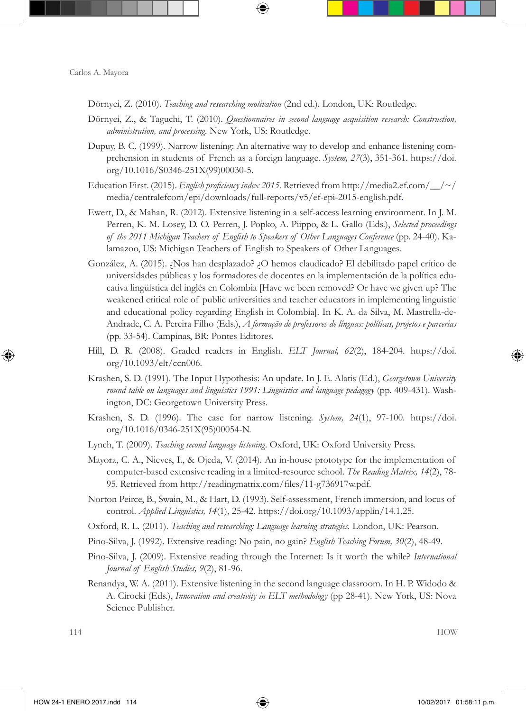- Dörnyei, Z. (2010). *Teaching and researching motivation* (2nd ed.). London, UK: Routledge.
- Dörnyei, Z., & Taguchi, T. (2010). *Questionnaires in second language acquisition research: Construction, administration, and processing.* New York, US: Routledge.
- Dupuy, B. C. (1999). Narrow listening: An alternative way to develop and enhance listening comprehension in students of French as a foreign language. *System, 27*(3), 351-361. https://doi. org/10.1016/S0346-251X(99)00030-5.
- Education First. (2015). *English proficiency index 2015.* Retrieved from http://media2.ef.com/\_\_/~/ media/centralefcom/epi/downloads/full-reports/v5/ef-epi-2015-english.pdf.
- Ewert, D., & Mahan, R. (2012). Extensive listening in a self-access learning environment. In J. M. Perren, K. M. Losey, D. O. Perren, J. Popko, A. Piippo, & L. Gallo (Eds.), *Selected proceedings of the 2011 Michigan Teachers of English to Speakers of Other Languages Conference* (pp. 24-40). Kalamazoo, US: Michigan Teachers of English to Speakers of Other Languages.
- González, A. (2015). ¿Nos han desplazado? ¿O hemos claudicado? El debilitado papel crítico de universidades públicas y los formadores de docentes en la implementación de la política educativa lingüística del inglés en Colombia [Have we been removed? Or have we given up? The weakened critical role of public universities and teacher educators in implementing linguistic and educational policy regarding English in Colombia]. In K. A. da Silva, M. Mastrella-de-Andrade, C. A. Pereira Filho (Eds.), *A formação de professores de línguas: políticas, projetos e parcerias*  (pp. 33-54). Campinas, BR: Pontes Editores.
- Hill, D. R. (2008). Graded readers in English. *ELT Journal, 62*(2), 184-204. https://doi. org/10.1093/elt/ccn006.
- Krashen, S. D. (1991). The Input Hypothesis: An update. In J. E. Alatis (Ed.), *Georgetown University round table on languages and linguistics 1991: Linguistics and language pedagogy* (pp. 409-431). Washington, DC: Georgetown University Press.
- Krashen, S. D. (1996). The case for narrow listening. *System, 24*(1), 97-100. https://doi. org/10.1016/0346-251X(95)00054-N.
- Lynch, T. (2009). *Teaching second language listening*. Oxford, UK: Oxford University Press.
- Mayora, C. A., Nieves, I., & Ojeda, V. (2014). An in-house prototype for the implementation of computer-based extensive reading in a limited-resource school. *The Reading Matrix, 14*(2), 78- 95. Retrieved from http://readingmatrix.com/files/11-g736917w.pdf.
- Norton Peirce, B., Swain, M., & Hart, D. (1993). Self-assessment, French immersion, and locus of control. *Applied Linguistics, 14*(1), 25-42. https://doi.org/10.1093/applin/14.1.25.
- Oxford, R. L. (2011). *Teaching and researching: Language learning strategies.* London, UK: Pearson.
- Pino-Silva, J. (1992). Extensive reading: No pain, no gain? *English Teaching Forum, 30*(2), 48-49.
- Pino-Silva, J. (2009). Extensive reading through the Internet: Is it worth the while? *International Journal of English Studies, 9*(2), 81-96.
- Renandya, W. A. (2011). Extensive listening in the second language classroom. In H. P. Widodo & A. Cirocki (Eds.), *Innovation and creativity in ELT methodology* (pp 28-41). New York, US: Nova Science Publisher.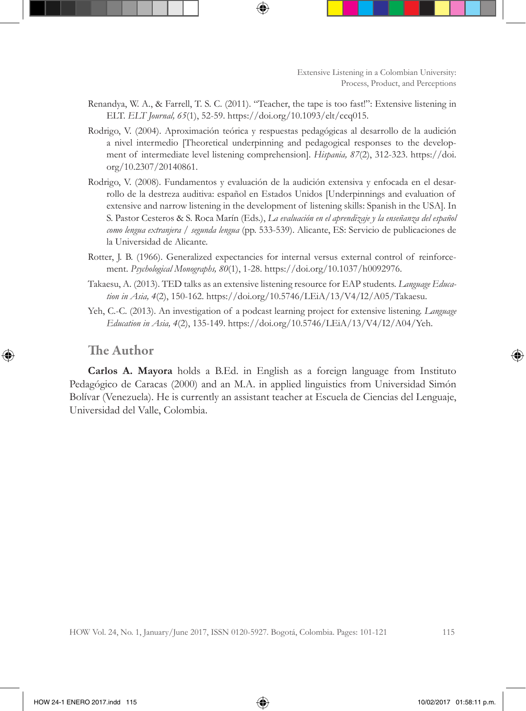- Renandya, W. A., & Farrell, T. S. C. (2011). "Teacher, the tape is too fast!": Extensive listening in ELT. *ELT Journal, 65*(1), 52-59. https://doi.org/10.1093/elt/ccq015.
- Rodrigo, V. (2004). Aproximación teórica y respuestas pedagógicas al desarrollo de la audición a nivel intermedio [Theoretical underpinning and pedagogical responses to the development of intermediate level listening comprehension]. *Hispania, 87*(2), 312-323. https://doi. org/10.2307/20140861.
- Rodrigo, V. (2008). Fundamentos y evaluación de la audición extensiva y enfocada en el desarrollo de la destreza auditiva: español en Estados Unidos [Underpinnings and evaluation of extensive and narrow listening in the development of listening skills: Spanish in the USA]. In S. Pastor Cesteros & S. Roca Marín (Eds.), *La evaluación en el aprendizaje y la enseñanza del español como lengua extranjera / segunda lengua* (pp. 533-539). Alicante, ES: Servicio de publicaciones de la Universidad de Alicante.
- Rotter, J. B. (1966). Generalized expectancies for internal versus external control of reinforcement. *Psychological Monographs, 80*(1), 1-28. https://doi.org/10.1037/h0092976.
- Takaesu, A. (2013). TED talks as an extensive listening resource for EAP students. *Language Education in Asia, 4*(2), 150-162. https://doi.org/10.5746/LEiA/13/V4/I2/A05/Takaesu.
- Yeh, C.-C. (2013). An investigation of a podcast learning project for extensive listening. *Language Education in Asia, 4*(2), 135-149. https://doi.org/10.5746/LEiA/13/V4/I2/A04/Yeh.

### The Author

**Carlos A. Mayora** holds a B.Ed. in English as a foreign language from Instituto Pedagógico de Caracas (2000) and an M.A. in applied linguistics from Universidad Simón Bolívar (Venezuela). He is currently an assistant teacher at Escuela de Ciencias del Lenguaje, Universidad del Valle, Colombia.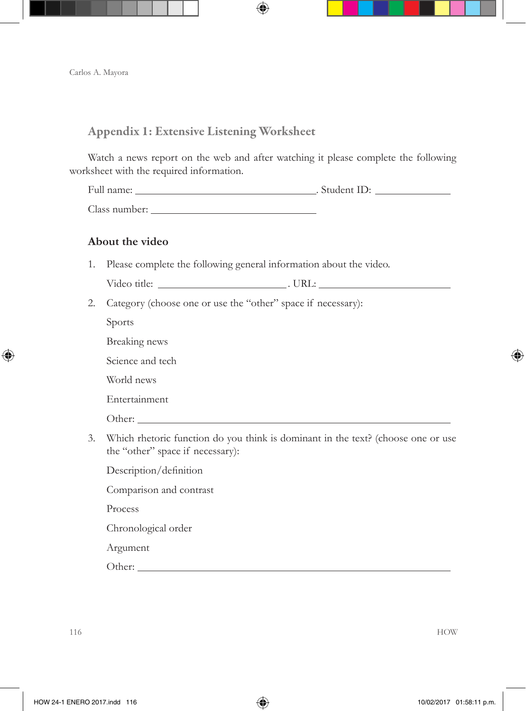### Appendix 1: Extensive Listening Worksheet

Watch a news report on the web and after watching it please complete the following worksheet with the required information.

| Full name:    | . Student ID: |  |
|---------------|---------------|--|
| Class number: |               |  |

### **About the video**

1. Please complete the following general information about the video.

| <b>The State</b> | ----<br>_<br>. . |  |
|------------------|------------------|--|
|                  |                  |  |

2. Category (choose one or use the "other" space if necessary):

Sports

Breaking news

Science and tech

World news

Entertainment

Other:

3. Which rhetoric function do you think is dominant in the text? (choose one or use the "other" space if necessary):

Description/definition

Comparison and contrast

Process

Chronological order

Argument

Other: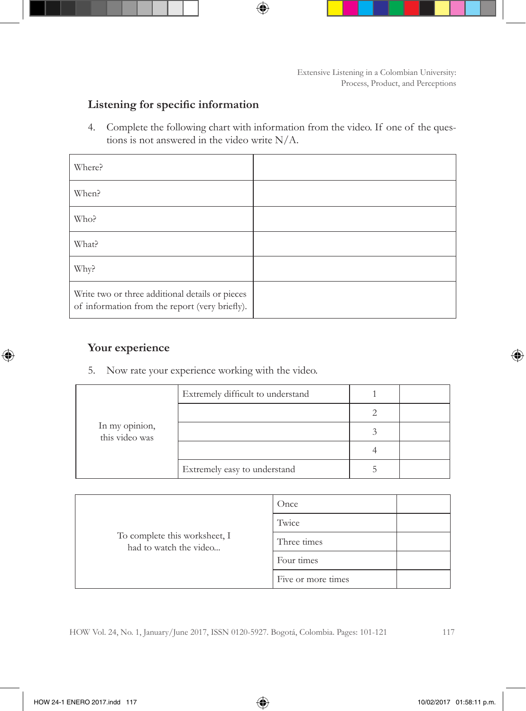### **Listening for specific information**

4. Complete the following chart with information from the video. If one of the questions is not answered in the video write N/A.

| Where?                                                                                            |  |
|---------------------------------------------------------------------------------------------------|--|
| When?                                                                                             |  |
| Who?                                                                                              |  |
| What?                                                                                             |  |
| Why?                                                                                              |  |
| Write two or three additional details or pieces<br>of information from the report (very briefly). |  |

### **Your experience**

5. Now rate your experience working with the video.

| In my opinion,<br>this video was | Extremely difficult to understand |  |
|----------------------------------|-----------------------------------|--|
|                                  |                                   |  |
|                                  |                                   |  |
|                                  |                                   |  |
|                                  | Extremely easy to understand      |  |

|                                                         | Once               |
|---------------------------------------------------------|--------------------|
|                                                         | Twice              |
| To complete this worksheet, I<br>had to watch the video | Three times        |
|                                                         | Four times         |
|                                                         | Five or more times |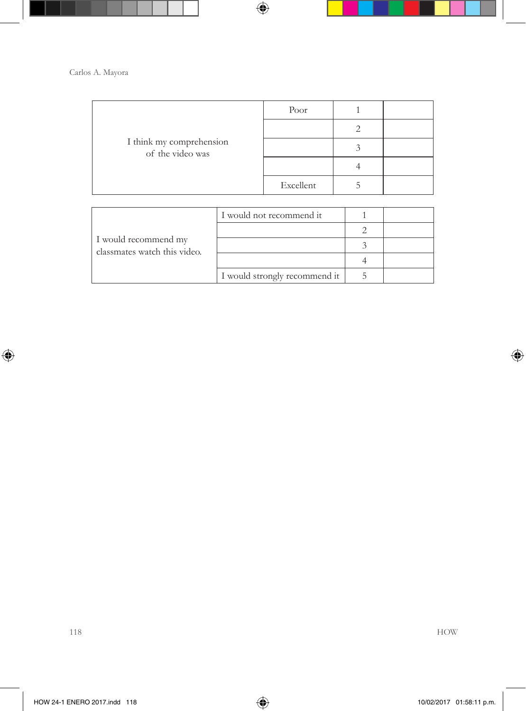| I think my comprehension<br>of the video was | Poor      |  |
|----------------------------------------------|-----------|--|
|                                              |           |  |
|                                              |           |  |
|                                              |           |  |
|                                              | Excellent |  |

| I would recommend my<br>classmates watch this video. | I would not recommend it      |  |
|------------------------------------------------------|-------------------------------|--|
|                                                      |                               |  |
|                                                      |                               |  |
|                                                      |                               |  |
|                                                      | I would strongly recommend it |  |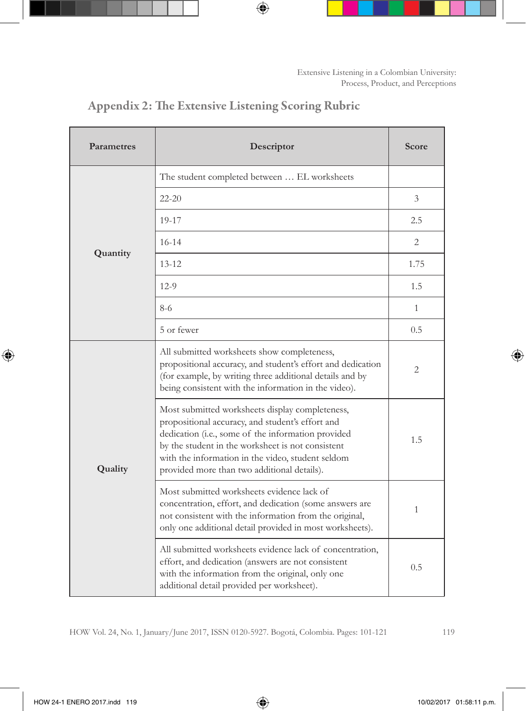| Parametres | Descriptor                                                                                                                                                                                                                                                                                                         | Score          |
|------------|--------------------------------------------------------------------------------------------------------------------------------------------------------------------------------------------------------------------------------------------------------------------------------------------------------------------|----------------|
|            | The student completed between  EL worksheets                                                                                                                                                                                                                                                                       |                |
|            | $22 - 20$                                                                                                                                                                                                                                                                                                          | $\overline{3}$ |
|            | 19-17                                                                                                                                                                                                                                                                                                              | 2.5            |
|            | $16 - 14$                                                                                                                                                                                                                                                                                                          | 2              |
| Quantity   | $13 - 12$                                                                                                                                                                                                                                                                                                          | 1.75           |
|            | $12-9$                                                                                                                                                                                                                                                                                                             | 1.5            |
|            | $8-6$                                                                                                                                                                                                                                                                                                              | $\mathbf{1}$   |
|            | 5 or fewer                                                                                                                                                                                                                                                                                                         | 0.5            |
| Quality    | All submitted worksheets show completeness,<br>propositional accuracy, and student's effort and dedication<br>(for example, by writing three additional details and by<br>being consistent with the information in the video).                                                                                     | 2              |
|            | Most submitted worksheets display completeness,<br>propositional accuracy, and student's effort and<br>dedication (i.e., some of the information provided<br>by the student in the worksheet is not consistent<br>with the information in the video, student seldom<br>provided more than two additional details). | 1.5            |
|            | Most submitted worksheets evidence lack of<br>concentration, effort, and dedication (some answers are<br>not consistent with the information from the original,<br>only one additional detail provided in most worksheets).                                                                                        | 1              |
|            | All submitted worksheets evidence lack of concentration,<br>effort, and dedication (answers are not consistent<br>with the information from the original, only one<br>additional detail provided per worksheet).                                                                                                   | 0.5            |

# Appendix 2: The Extensive Listening Scoring Rubric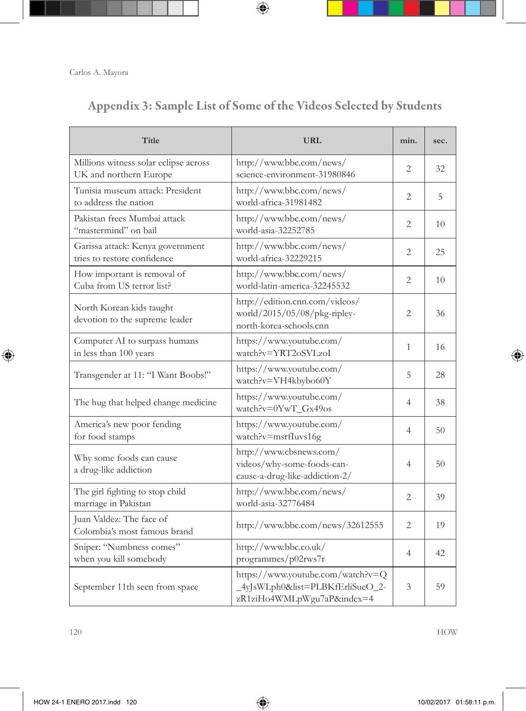# Appendix 3: Sample List of Some of the Videos Selected by Students

| Title                                                           | <b>URL</b>                                                                                         | min.           | sec. |
|-----------------------------------------------------------------|----------------------------------------------------------------------------------------------------|----------------|------|
| Millions witness solar eclipse across<br>UK and northern Europe | http://www.bbc.com/news/<br>science-environment-31980846                                           | 2              | 32   |
| Tunisia museum attack: President<br>to address the nation       | http://www.bbc.com/news/<br>world-africa-31981482                                                  | 2              | 5    |
| Pakistan frees Mumbai attack<br>"mastermind" on bail            | http://www.bbc.com/news/<br>world-asia-32252785                                                    | 2              | 10   |
| Garissa attack: Kenya government<br>tries to restore confidence | http://www.bbc.com/news/<br>world-africa-32229215                                                  | 2              | 25   |
| How important is removal of<br>Cuba from US terror list?        | http://www.bbc.com/news/<br>world-latin-america-32245532                                           | $\overline{2}$ | 10   |
| North Korean kids taught<br>devotion to the supreme leader      | http://edition.cnn.com/videos/<br>world/2015/05/08/pkg-ripley-<br>north-korea-schools.cnn          | 2              | 36   |
| Computer AI to surpass humans<br>in less than 100 years         | https://www.youtube.com/<br>watch?v=YRT2oSVLzoI                                                    | 1              | 16   |
| Transgender at 11: "I Want Boobs!"                              | https://www.youtube.com/<br>watch?v=VH4kbybo60Y                                                    | 5              | 28   |
| The hug that helped change medicine                             | https://www.youtube.com/<br>watch?v=0YwT_Gx49os                                                    | $\overline{4}$ | 38   |
| America's new poor fending<br>for food stamps                   | https://www.youtube.com/<br>watch?v=msrfIuvs16g                                                    | $\overline{4}$ | 50   |
| Why some foods can cause<br>a drug-like addiction               | http://www.cbsnews.com/<br>videos/why-some-foods-can-<br>cause-a-drug-like-addiction-2/            | $\overline{4}$ | 50   |
| The girl fighting to stop child<br>marriage in Pakistan         | http://www.bbc.com/news/<br>world-asia-32776484                                                    | 2              | 39   |
| Juan Valdez: The face of<br>Colombia's most famous brand        | http://www.bbc.com/news/32612555                                                                   | 2              | 19   |
| Sniper: "Numbness comes"<br>when you kill somebody              | http://www.bbc.co.uk/<br>programmes/p02rws7r                                                       | 4              | 42   |
| September 11th seen from space                                  | https://www.youtube.com/watch?v=Q<br>4yJsWLph0&list=PLBKfErliSueO_2-<br>zR1ziHo4WMLpWgu7aP&index=4 | 3              | 59   |